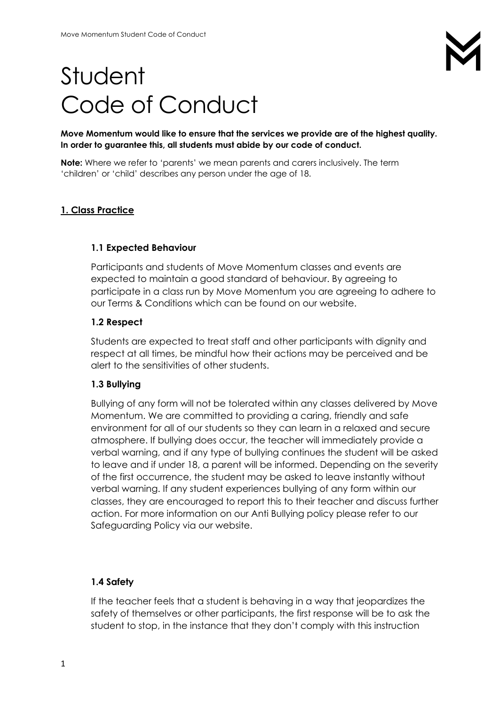# Student Code of Conduct

**Move Momentum would like to ensure that the services we provide are of the highest quality. In order to guarantee this, all students must abide by our code of conduct.**

**Note:** Where we refer to 'parents' we mean parents and carers inclusively. The term 'children' or 'child' describes any person under the age of 18.

## **1. Class Practice**

#### **1.1 Expected Behaviour**

Participants and students of Move Momentum classes and events are expected to maintain a good standard of behaviour. By agreeing to participate in a class run by Move Momentum you are agreeing to adhere to our Terms & Conditions which can be found on our website.

#### **1.2 Respect**

Students are expected to treat staff and other participants with dignity and respect at all times, be mindful how their actions may be perceived and be alert to the sensitivities of other students.

### **1.3 Bullying**

Bullying of any form will not be tolerated within any classes delivered by Move Momentum. We are committed to providing a caring, friendly and safe environment for all of our students so they can learn in a relaxed and secure atmosphere. If bullying does occur, the teacher will immediately provide a verbal warning, and if any type of bullying continues the student will be asked to leave and if under 18, a parent will be informed. Depending on the severity of the first occurrence, the student may be asked to leave instantly without verbal warning. If any student experiences bullying of any form within our classes, they are encouraged to report this to their teacher and discuss further action. For more information on our Anti Bullying policy please refer to our Safeguarding Policy via our website.

### **1.4 Safety**

If the teacher feels that a student is behaving in a way that jeopardizes the safety of themselves or other participants, the first response will be to ask the student to stop, in the instance that they don't comply with this instruction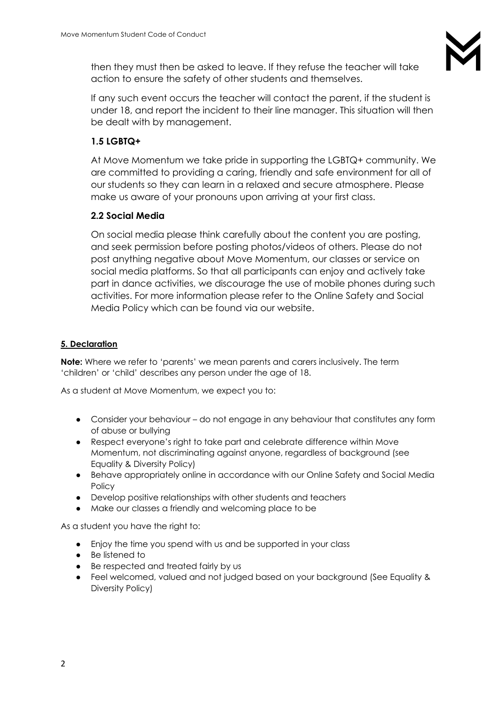then they must then be asked to leave. If they refuse the teacher will take action to ensure the safety of other students and themselves.

If any such event occurs the teacher will contact the parent, if the student is under 18, and report the incident to their line manager. This situation will then be dealt with by management.

# **1.5 LGBTQ+**

At Move Momentum we take pride in supporting the LGBTQ+ community. We are committed to providing a caring, friendly and safe environment for all of our students so they can learn in a relaxed and secure atmosphere. Please make us aware of your pronouns upon arriving at your first class.

# **2.2 Social Media**

On social media please think carefully about the content you are posting, and seek permission before posting photos/videos of others. Please do not post anything negative about Move Momentum, our classes or service on social media platforms. So that all participants can enjoy and actively take part in dance activities, we discourage the use of mobile phones during such activities. For more information please refer to the Online Safety and Social Media Policy which can be found via our website.

# **5. Declaration**

**Note:** Where we refer to 'parents' we mean parents and carers inclusively. The term 'children' or 'child' describes any person under the age of 18.

As a student at Move Momentum, we expect you to:

- Consider your behaviour do not engage in any behaviour that constitutes any form of abuse or bullying
- Respect everyone's right to take part and celebrate difference within Move Momentum, not discriminating against anyone, regardless of background (see Equality & Diversity Policy)
- Behave appropriately online in accordance with our Online Safety and Social Media **Policy**
- Develop positive relationships with other students and teachers
- Make our classes a friendly and welcoming place to be

As a student you have the right to:

- Enjoy the time you spend with us and be supported in your class
- Be listened to
- Be respected and treated fairly by us
- Feel welcomed, valued and not judged based on your background (See Equality & Diversity Policy)